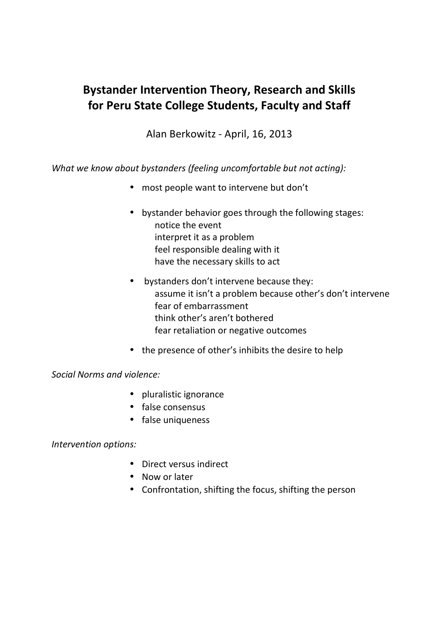## **Bystander Intervention Theory, Research and Skills for Peru State College Students, Faculty and Staff**

Alan Berkowitz - April, 16, 2013

*What we know about bystanders (feeling uncomfortable but not acting):* 

- most people want to intervene but don't
- bystander behavior goes through the following stages: notice the event interpret it as a problem feel responsible dealing with it have the necessary skills to act
- bystanders don't intervene because they: assume it isn't a problem because other's don't intervene fear of embarrassment think other's aren't bothered fear retaliation or negative outcomes
- the presence of other's inhibits the desire to help

## *Social Norms and violence:*

- pluralistic ignorance
- false consensus
- false uniqueness

*Intervention options:* 

- Direct versus indirect
- Now or later
- Confrontation, shifting the focus, shifting the person